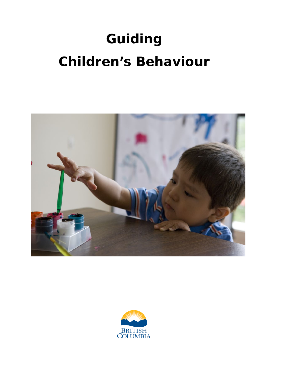# **Guiding Children's Behaviour**



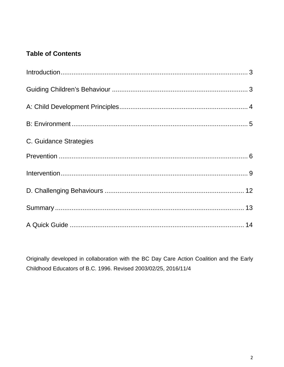# **Table of Contents**

| C. Guidance Strategies |  |
|------------------------|--|
|                        |  |
|                        |  |
|                        |  |
|                        |  |
|                        |  |

<span id="page-1-0"></span>Originally developed in collaboration with the BC Day Care Action Coalition and the Early Childhood Educators of B.C. 1996. Revised 2003/02/25, 2016/11/4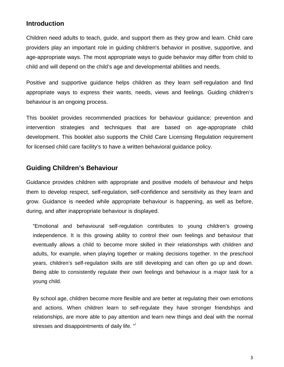### **Introduction**

Children need adults to teach, guide, and support them as they grow and learn. Child care providers play an important role in guiding children's behavior in positive, supportive, and age-appropriate ways. The most appropriate ways to guide behavior may differ from child to child and will depend on the child's age and developmental abilities and needs.

Positive and supportive guidance helps children as they learn self-regulation and find appropriate ways to express their wants, needs, views and feelings. Guiding children's behaviour is an ongoing process.

This booklet provides recommended practices for behaviour guidance; prevention and intervention strategies and techniques that are based on age-appropriate child development. This booklet also supports the Child Care Licensing Regulation requirement for licensed child care facility's to have a written behavioral guidance policy.

#### <span id="page-2-0"></span>**Guiding Children's Behaviour**

Guidance provides children with appropriate and positive models of behaviour and helps them to develop respect, self-regulation, self-confidence and sensitivity as they learn and grow. Guidance is needed while appropriate behaviour is happening, as well as before, during, and after inappropriate behaviour is displayed.

"Emotional and behavioural self-regulation contributes to young children's growing independence. It is this growing ability to control their own feelings and behaviour that eventually allows a child to become more skilled in their relationships with children and adults, for example, when playing together or making decisions together. In the preschool years, children's self-regulation skills are still developing and can often go up and down. Being able to consistently regulate their own feelings and behaviour is a major task for a young child.

By school age, children become more flexible and are better at regulating their own emotions and actions. When children learn to self-regulate they have stronger friendships and relationships, are more able to pay attention and learn new things and deal with the normal stresses and d[i](#page-13-1)sappointments of daily life. "<sup>i</sup>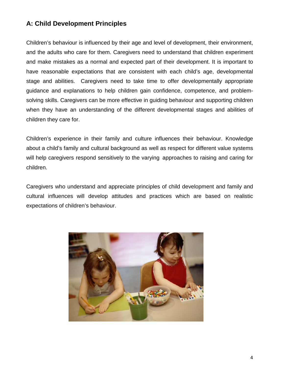# <span id="page-3-0"></span>**A: Child Development Principles**

Children's behaviour is influenced by their age and level of development, their environment, and the adults who care for them. Caregivers need to understand that children experiment and make mistakes as a normal and expected part of their development. It is important to have reasonable expectations that are consistent with each child's age, developmental stage and abilities. Caregivers need to take time to offer developmentally appropriate guidance and explanations to help children gain confidence, competence, and problemsolving skills. Caregivers can be more effective in guiding behaviour and supporting children when they have an understanding of the different developmental stages and abilities of children they care for.

Children's experience in their family and culture influences their behaviour. Knowledge about a child's family and cultural background as well as respect for different value systems will help caregivers respond sensitively to the varying approaches to raising and caring for children.

Caregivers who understand and appreciate principles of child development and family and cultural influences will develop attitudes and practices which are based on realistic expectations of children's behaviour.

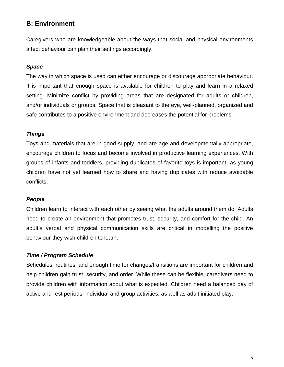# <span id="page-4-0"></span>**B: Environment**

Caregivers who are knowledgeable about the ways that social and physical environments affect behaviour can plan their settings accordingly.

#### *Space*

The way in which space is used can either encourage or discourage appropriate behaviour. It is important that enough space is available for children to play and learn in a relaxed setting. Minimize conflict by providing areas that are designated for adults or children, and/or individuals or groups. Space that is pleasant to the eye, well-planned, organized and safe contributes to a positive environment and decreases the potential for problems.

#### *Things*

Toys and materials that are in good supply, and are age and developmentally appropriate, encourage children to focus and become involved in productive learning experiences. With groups of infants and toddlers, providing duplicates of favorite toys is important, as young children have not yet learned how to share and having duplicates with reduce avoidable conflicts.

#### *People*

Children learn to interact with each other by seeing what the adults around them do. Adults need to create an environment that promotes trust, security, and comfort for the child. An adult's verbal and physical communication skills are critical in modelling the positive behaviour they wish children to learn.

#### *Time / Program Schedule*

<span id="page-4-1"></span>Schedules, routines, and enough time for changes/transitions are important for children and help children gain trust, security, and order. While these can be flexible, caregivers need to provide children with information about what is expected. Children need a balanced day of active and rest periods, individual and group activities, as well as adult initiated play.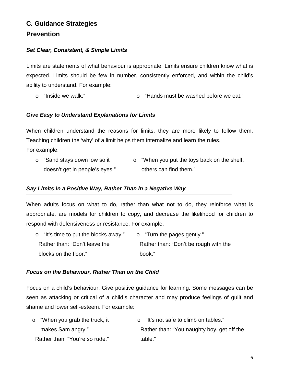# **C. Guidance Strategies Prevention**

#### *Set Clear, Consistent, & Simple Limits*

Limits are statements of what behaviour is appropriate. Limits ensure children know what is expected. Limits should be few in number, consistently enforced, and within the child's ability to understand. For example:

o "Inside we walk." o "Hands must be washed before we eat."

#### *Give Easy to Understand Explanations for Limits*

When children understand the reasons for limits, they are more likely to follow them. Teaching children the 'why' of a limit helps them internalize and learn the rules. For example:

o "Sand stays down low so it doesn't get in people's eyes." o "When you put the toys back on the shelf, others can find them."

#### *Say Limits in a Positive Way, Rather Than in a Negative Way*

When adults focus on what to do, rather than what not to do, they reinforce what is appropriate, are models for children to copy, and decrease the likelihood for children to respond with defensiveness or resistance. For example:

| $\circ$ "It's time to put the blocks away." | o "Turn the pages gently."            |
|---------------------------------------------|---------------------------------------|
| Rather than: "Don't leave the               | Rather than: "Don't be rough with the |
| blocks on the floor."                       | book."                                |

#### *Focus on the Behaviour, Rather Than on the Child*

Focus on a child's behaviour. Give positive guidance for learning. Some messages can be seen as attacking or critical of a child's character and may produce feelings of guilt and shame and lower self-esteem. For example:

o "When you grab the truck, it makes Sam angry." Rather than: "You're so rude." o "It's not safe to climb on tables." Rather than: "You naughty boy, get off the table."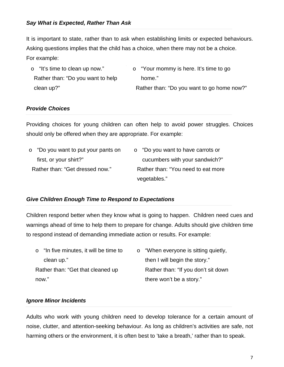It is important to state, rather than to ask when establishing limits or expected behaviours. Asking questions implies that the child has a choice, when there may not be a choice. For example:

o "It's time to clean up now." Rather than: "Do you want to help clean up?" o "Your mommy is here. It's time to go home." Rather than: "Do you want to go home now?"

#### *Provide Choices*

Providing choices for young children can often help to avoid power struggles. Choices should only be offered when they are appropriate. For example:

| $\circ$ "Do you want to put your pants on | o "Do you want to have carrots or  |
|-------------------------------------------|------------------------------------|
| first, or your shirt?"                    | cucumbers with your sandwich?"     |
| Rather than: "Get dressed now."           | Rather than: "You need to eat more |
|                                           | vegetables."                       |

#### *Give Children Enough Time to Respond to Expectations*

Children respond better when they know what is going to happen. Children need cues and warnings ahead of time to help them to prepare for change. Adults should give children time to respond instead of demanding immediate action or results. For example:

| o "In five minutes, it will be time to | $\circ$ "When everyone is sitting quietly, |
|----------------------------------------|--------------------------------------------|
| clean up."                             | then I will begin the story."              |
| Rather than: "Get that cleaned up      | Rather than: "If you don't sit down        |
| now."                                  | there won't be a story."                   |

#### *Ignore Minor Incidents*

Adults who work with young children need to develop tolerance for a certain amount of noise, clutter, and attention-seeking behaviour. As long as children's activities are safe, not harming others or the environment, it is often best to 'take a breath,' rather than to speak.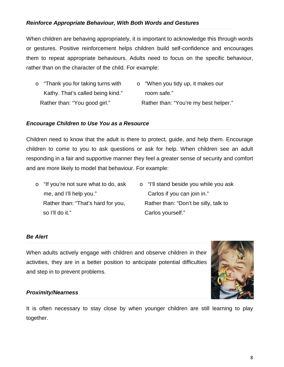#### *Reinforce Appropriate Behaviour, With Both Words and Gestures*

When children are behaving appropriately, it is important to acknowledge this through words or gestures. Positive reinforcement helps children build self-confidence and encourages them to repeat appropriate behaviours. Adults need to focus on the specific behaviour, rather than on the character of the child. For example:

| o "Thank you for taking turns with | o "When you tidy up, it makes our     |
|------------------------------------|---------------------------------------|
| Kathy. That's called being kind."  | room safe."                           |
| Rather than: "You good girl."      | Rather than: "You're my best helper." |

#### *Encourage Children to Use You as a Resource*

Children need to know that the adult is there to protect, guide, and help them. Encourage children to come to you to ask questions or ask for help. When children see an adult responding in a fair and supportive manner they feel a greater sense of security and comfort and are more likely to model that behaviour. For example:

o "If you're not sure what to do, ask me, and I'll help you." Rather than: "That's hard for you, so I'll do it." o "I'll stand beside you while you ask Carlos if you can join in." Rather than: "Don't be silly, talk to Carlos yourself."

#### *Be Alert*

When adults actively engage with children and observe children in their activities, they are in a better position to anticipate potential difficulties and step in to prevent problems.



#### *Proximity/Nearness*

It is often necessary to stay close by when younger children are still learning to play together.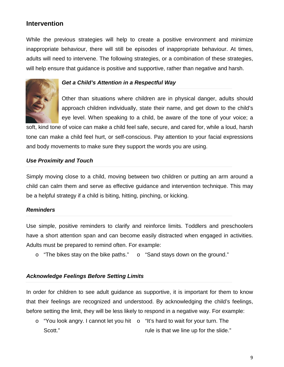## <span id="page-8-0"></span>**Intervention**

While the previous strategies will help to create a positive environment and minimize inappropriate behaviour, there will still be episodes of inappropriate behaviour. At times, adults will need to intervene. The following strategies, or a combination of these strategies, will help ensure that guidance is positive and supportive, rather than negative and harsh.



#### *Get a Child's Attention in a Respectful Way*

Other than situations where children are in physical danger, adults should approach children individually, state their name, and get down to the child's eye level. When speaking to a child, be aware of the tone of your voice; a

soft, kind tone of voice can make a child feel safe, secure, and cared for, while a loud, harsh tone can make a child feel hurt, or self-conscious. Pay attention to your facial expressions and body movements to make sure they support the words you are using.

#### *Use Proximity and Touch*

Simply moving close to a child, moving between two children or putting an arm around a child can calm them and serve as effective guidance and intervention technique. This may be a helpful strategy if a child is biting, hitting, pinching, or kicking.

#### *Reminders*

Use simple, positive reminders to clarify and reinforce limits. Toddlers and preschoolers have a short attention span and can become easily distracted when engaged in activities. Adults must be prepared to remind often. For example:

o "The bikes stay on the bike paths." o "Sand stays down on the ground."

#### *Acknowledge Feelings Before Setting Limits*

In order for children to see adult guidance as supportive, it is important for them to know that their feelings are recognized and understood. By acknowledging the child's feelings, before setting the limit, they will be less likely to respond in a negative way. For example:

o "You look angry. I cannot let you hit o "It's hard to wait for your turn. The Scott." rule is that we line up for the slide."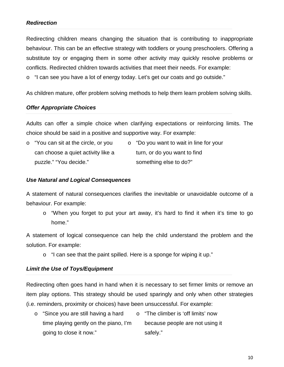#### *Redirection*

Redirecting children means changing the situation that is contributing to inappropriate behaviour. This can be an effective strategy with toddlers or young preschoolers. Offering a substitute toy or engaging them in some other activity may quickly resolve problems or conflicts. Redirected children towards activities that meet their needs. For example:

o "I can see you have a lot of energy today. Let's get our coats and go outside."

As children mature, offer problem solving methods to help them learn problem solving skills.

#### *Offer Appropriate Choices*

Adults can offer a simple choice when clarifying expectations or reinforcing limits. The choice should be said in a positive and supportive way. For example:

| o "You can sit at the circle, or you | o "Do you want to wait in line for your |
|--------------------------------------|-----------------------------------------|
| can choose a quiet activity like a   | turn, or do you want to find            |
| puzzle." "You decide."               | something else to do?"                  |

#### *Use Natural and Logical Consequences*

A statement of natural consequences clarifies the inevitable or unavoidable outcome of a behaviour. For example:

o "When you forget to put your art away, it's hard to find it when it's time to go home."

A statement of logical consequence can help the child understand the problem and the solution. For example:

o "I can see that the paint spilled. Here is a sponge for wiping it up."

#### *Limit the Use of Toys/Equipment*

Redirecting often goes hand in hand when it is necessary to set firmer limits or remove an item play options. This strategy should be used sparingly and only when other strategies (i.e. reminders, proximity or choices) have been unsuccessful. For example:

o "Since you are still having a hard time playing gently on the piano, I'm going to close it now." o "The climber is 'off limits' now because people are not using it safely."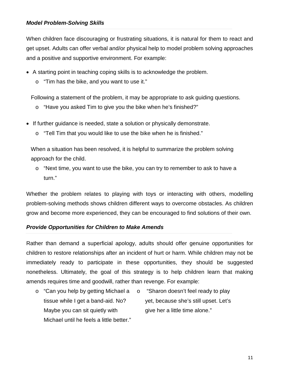When children face discouraging or frustrating situations, it is natural for them to react and get upset. Adults can offer verbal and/or physical help to model problem solving approaches and a positive and supportive environment. For example:

- A starting point in teaching coping skills is to acknowledge the problem.
	- o "Tim has the bike, and you want to use it."

Following a statement of the problem, it may be appropriate to ask guiding questions.

- o "Have you asked Tim to give you the bike when he's finished?"
- If further guidance is needed, state a solution or physically demonstrate.
	- o "Tell Tim that you would like to use the bike when he is finished."

 When a situation has been resolved, it is helpful to summarize the problem solving approach for the child.

 $\circ$  "Next time, you want to use the bike, you can try to remember to ask to have a turn."

Whether the problem relates to playing with toys or interacting with others, modelling problem-solving methods shows children different ways to overcome obstacles. As children grow and become more experienced, they can be encouraged to find solutions of their own.

#### *Provide Opportunities for Children to Make Amends*

Rather than demand a superficial apology, adults should offer genuine opportunities for children to restore relationships after an incident of hurt or harm. While children may not be immediately ready to participate in these opportunities, they should be suggested nonetheless. Ultimately, the goal of this strategy is to help children learn that making amends requires time and goodwill, rather than revenge. For example:

o "Can you help by getting Michael a tissue while I get a band-aid. No? Maybe you can sit quietly with Michael until he feels a little better." o "Sharon doesn't feel ready to play yet, because she's still upset. Let's give her a little time alone."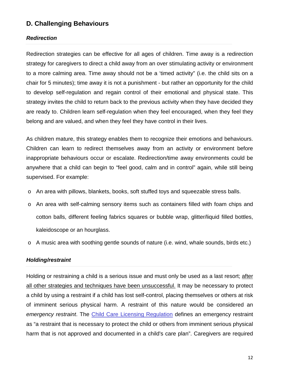# <span id="page-11-0"></span>**D. Challenging Behaviours**

#### *Redirection*

Redirection strategies can be effective for all ages of children. Time away is a redirection strategy for caregivers to direct a child away from an over stimulating activity or environment to a more calming area. Time away should not be a 'timed activity" (i.e. the child sits on a chair for 5 minutes); time away it is not a punishment - but rather an opportunity for the child to develop self-regulation and regain control of their emotional and physical state. This strategy invites the child to return back to the previous activity when they have decided they are ready to. Children learn self-regulation when they feel encouraged, when they feel they belong and are valued, and when they feel they have control in their lives.

As children mature, this strategy enables them to recognize their emotions and behaviours. Children can learn to redirect themselves away from an activity or environment before inappropriate behaviours occur or escalate. Redirection/time away environments could be anywhere that a child can begin to "feel good, calm and in control" again, while still being supervised. For example:

- o An area with pillows, blankets, books, soft stuffed toys and squeezable stress balls.
- o An area with self-calming sensory items such as containers filled with foam chips and cotton balls, different feeling fabrics squares or bubble wrap, glitter/liquid filled bottles, kaleidoscope or an hourglass.
- o A music area with soothing gentle sounds of nature (i.e. wind, whale sounds, birds etc.)

#### *Holding/restraint*

Holding or restraining a child is a serious issue and must only be used as a last resort; after all other strategies and techniques have been unsuccessful. It may be necessary to protect a child by using a restraint if a child has lost self-control, placing themselves or others at risk of imminent serious physical harm. A restraint of this nature would be considered an *emergency restraint*. The [Child Care Licensing Regulation](http://www.bclaws.ca/Recon/document/ID/freeside/332_2007#division_d2e4105) defines an emergency restraint as "a restraint that is necessary to protect the child or others from imminent serious physical harm that is not approved and documented in a child's care plan". Caregivers are required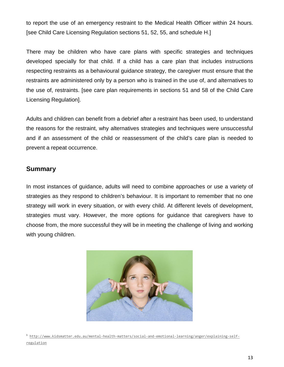to report the use of an emergency restraint to the Medical Health Officer within 24 hours. [see Child Care Licensing Regulation sections 51, 52, 55, and schedule H.]

There may be children who have care plans with specific strategies and techniques developed specially for that child. If a child has a care plan that includes instructions respecting restraints as a behavioural guidance strategy, the caregiver must ensure that the restraints are administered only by a person who is trained in the use of, and alternatives to the use of, restraints. [see care plan requirements in sections 51 and 58 of the Child Care Licensing Regulation].

Adults and children can benefit from a debrief after a restraint has been used, to understand the reasons for the restraint, why alternatives strategies and techniques were unsuccessful and if an assessment of the child or reassessment of the child's care plan is needed to prevent a repeat occurrence.

#### <span id="page-12-0"></span>**Summary**

In most instances of guidance, adults will need to combine approaches or use a variety of strategies as they respond to children's behaviour. It is important to remember that no one strategy will work in every situation, or with every child. At different levels of development, strategies must vary. However, the more options for guidance that caregivers have to choose from, the more successful they will be in meeting the challenge of living and working with young children.



<sup>1</sup> [http://www.kidsmatter.edu.au/mental-health-matters/social-and-emotional-learning/anger/explaining-self](http://www.kidsmatter.edu.au/mental-health-matters/social-and-emotional-learning/anger/explaining-self-regulation)[regulation](http://www.kidsmatter.edu.au/mental-health-matters/social-and-emotional-learning/anger/explaining-self-regulation)